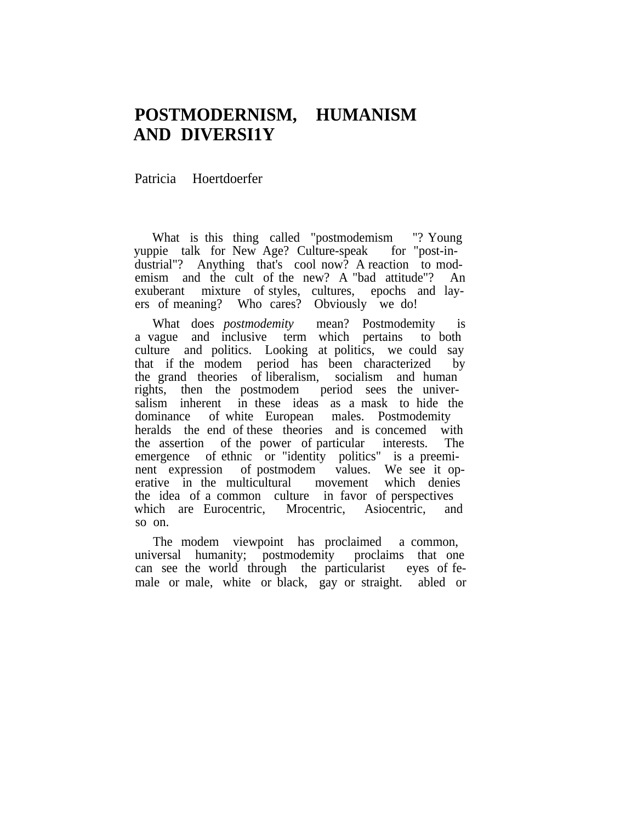## **POSTMODERNISM, HUMANISM AND DIVERSI1Y**

Patricia Hoertdoerfer

What is this thing called "postmodemism "? Young pie talk for New Age? Culture-speak for "post-invuppie talk for New Age? Culture-speak dustrial"? Anything that's cool now? A reaction to modemism and the cult of the new? A "bad attitude"? An exuberant mixture of styles, cultures, epochs and layers of meaning? Who cares? Obviously we do!

What does *postmodemity* mean? Postmodemity is a vague and inclusive term which pertains to both culture and politics. Looking at politics, we could say that if the modem period has been characterized by the grand theories of liberalism, socialism and human rights, then the postmodem period sees the universalism inherent in these ideas as a mask to hide the dominance of white European males. Postmodemity heralds the end of these theories and is concemed with the assertion of the power of particular interests. The emergence of ethnic or "identity politics" is a preeminent expression of postmodem values. We see it operative in the multicultural movement which denies the idea of a common culture in favor of perspectives which are Eurocentric, Mrocentric, Asiocentric, and so on.

The modem viewpoint has proclaimed a common, universal humanity; postmodemity proclaims that one can see the world through the particularist eyes of female or male, white or black, gay or straight. abled or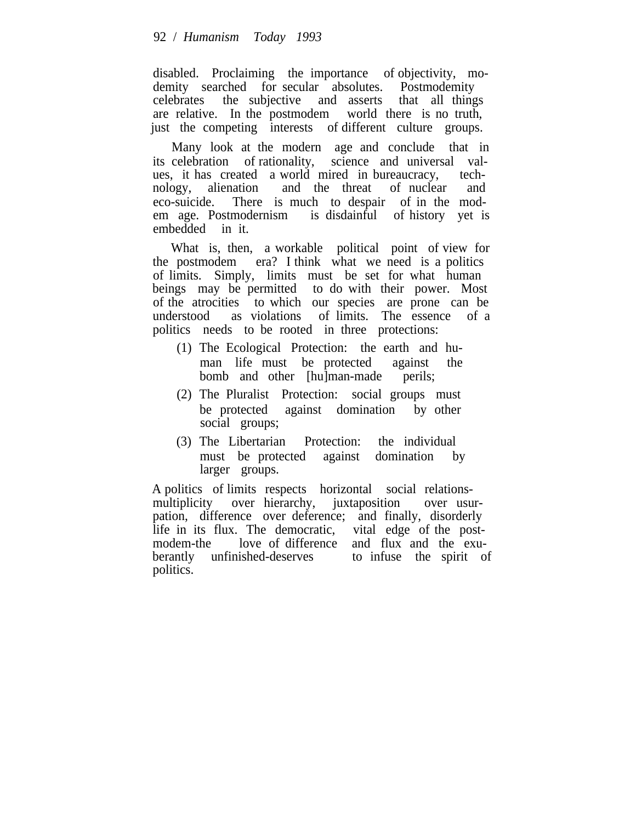disabled. Proclaiming the importance of objectivity, modemity searched for secular absolutes. Postmodemity celebrates the subjective and asserts that all thing the subjective and asserts that all things are relative. In the postmodem world there is no truth, just the competing interests of different culture groups.

Many look at the modern age and conclude that in its celebration of rationality, science and universal values, it has created a world mired in bureaucracy, technology, alienation and the threat of nuclear and eco-suicide. There is much to despair of in the modem age. Postmodernism is disdainful of history yet is embedded in it.

What is, then, a workable political point of view for the postmodem era? I think what we need is a politics of limits. Simply, limits must be set for what human beings may be permitted to do with their power. Most of the atrocities to which our species are prone can be understood as violations of limits. The essence of a politics needs to be rooted in three protections:

- (1) The Ecological Protection: the earth and human life must be protected against the bomb and other [hu]man-made perils;
- (2) The Pluralist Protection: social groups must be protected against domination by other social groups;
- (3) The Libertarian Protection: the individual must be protected against domination by larger groups.

A politics of limits respects horizontal social relationsmultiplicity over hierarchy, juxtaposition over usurpation, difference over deference; and finally, disorderly life in its flux. The democratic, vital edge of the postmodem-the love of difference and flux and the exuberantly unfinished-deserves to infuse the spirit of politics.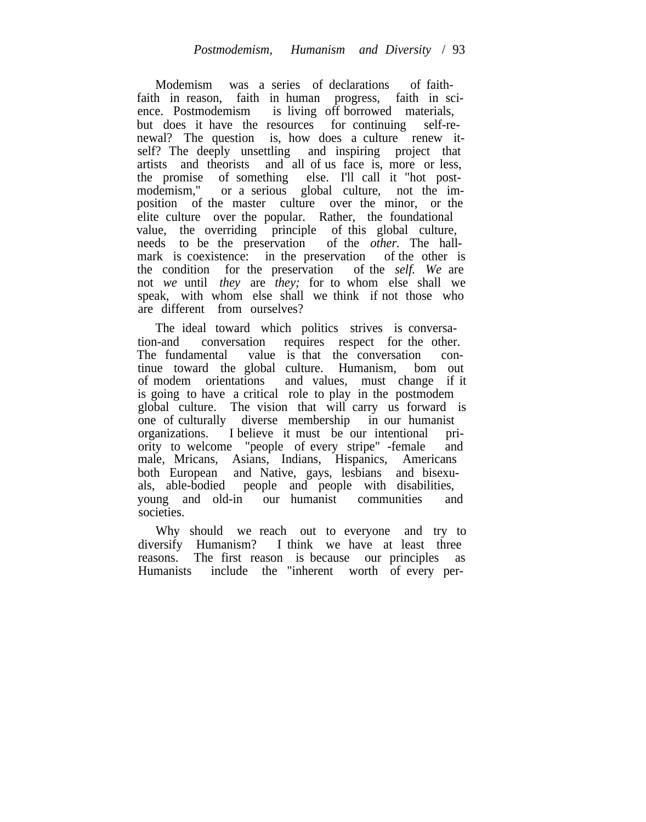Modemism was a series of declarations of faithfaith in reason, faith in human progress, faith in science. Postmodemism is living off borrowed materials, but does it have the resources for continuing self-renewal? The question is, how does a culture renew itself? The deeply unsettling and inspiring project that artists and theorists and all of us face is, more or less, the promise of something else. I'll call it "hot postmodemism," or a serious global culture, not the imposition of the master culture over the minor, or the elite culture over the popular. Rather, the foundational value, the overriding principle of this global culture, needs to be the preservation of the *other.* The hallmark is coexistence: in the preservation of the other is the condition for the preservation of the *self. We* are not *we* until *they* are *they;* for to whom else shall we speak, with whom else shall we think if not those who are different from ourselves?

The ideal toward which politics strives is conversation-and conversation requires respect for the other. The fundamental value is that the conversation continue toward the global culture. Humanism, bom out of modem orientations and values, must change if it is going to have a critical role to play in the postmodem global culture. The vision that will carry us forward is one of culturally diverse membership in our humanist organizations. I believe it must be our intentional priority to welcome "people of every stripe" -female and male, Mricans, Asians, Indians, Hispanics, Americans both European and Native, gays, lesbians and bisexuals, able-bodied people and people with disabilities, young and old-in our humanist communities and societies.

Why should we reach out to everyone and try to diversify Humanism? I think we have at least three reasons. The first reason is because our principles as Humanists include the "inherent worth of every per-